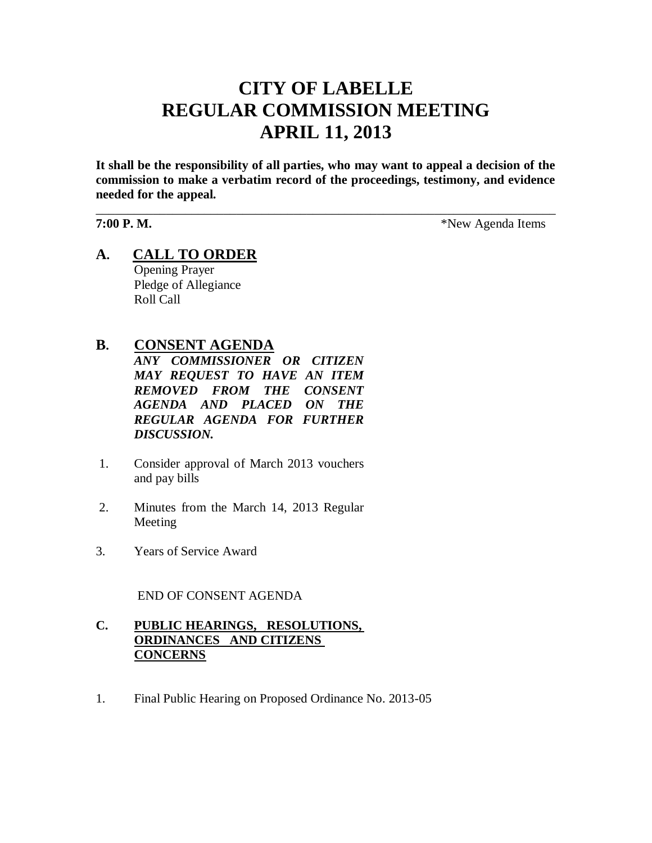# **CITY OF LABELLE REGULAR COMMISSION MEETING APRIL 11, 2013**

**It shall be the responsibility of all parties, who may want to appeal a decision of the commission to make a verbatim record of the proceedings, testimony, and evidence needed for the appeal.**

\_\_\_\_\_\_\_\_\_\_\_\_\_\_\_\_\_\_\_\_\_\_\_\_\_\_\_\_\_\_\_\_\_\_\_\_\_\_\_\_\_\_\_\_\_\_\_\_\_\_\_\_\_\_\_\_\_\_\_\_\_\_\_\_\_\_\_\_\_\_\_\_

**7:00 P. M.** \*New Agenda Items

**A. CALL TO ORDER** Opening Prayer Pledge of Allegiance Roll Call

# **B. CONSENT AGENDA**

*ANY COMMISSIONER OR CITIZEN MAY REQUEST TO HAVE AN ITEM REMOVED FROM THE CONSENT AGENDA AND PLACED ON THE REGULAR AGENDA FOR FURTHER DISCUSSION.*

- 1. Consider approval of March 2013 vouchers and pay bills
- 2. Minutes from the March 14, 2013 Regular Meeting
- 3. Years of Service Award

END OF CONSENT AGENDA

#### **C. PUBLIC HEARINGS, RESOLUTIONS, ORDINANCES AND CITIZENS CONCERNS**

1. Final Public Hearing on Proposed Ordinance No. 2013-05